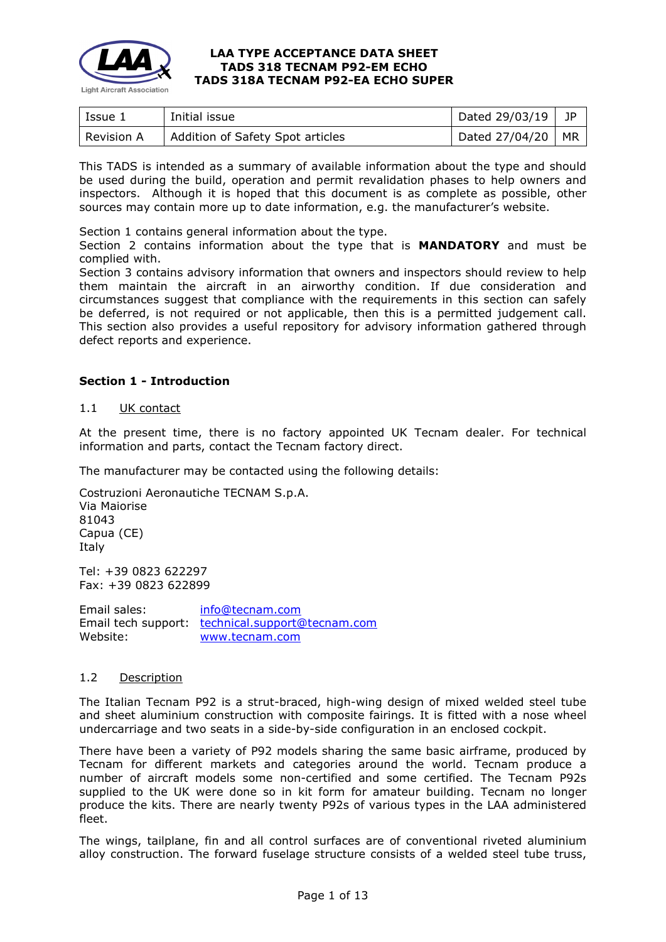

| Issue 1    | Initial issue                    | Dated 29/03/19 | JP        |
|------------|----------------------------------|----------------|-----------|
| Revision A | Addition of Safety Spot articles | Dated 27/04/20 | <b>MR</b> |

This TADS is intended as a summary of available information about the type and should be used during the build, operation and permit revalidation phases to help owners and inspectors. Although it is hoped that this document is as complete as possible, other sources may contain more up to date information, e.g. the manufacturer's website.

Section 1 contains general information about the type.

Section 2 contains information about the type that is **MANDATORY** and must be complied with.

Section 3 contains advisory information that owners and inspectors should review to help them maintain the aircraft in an airworthy condition. If due consideration and circumstances suggest that compliance with the requirements in this section can safely be deferred, is not required or not applicable, then this is a permitted judgement call. This section also provides a useful repository for advisory information gathered through defect reports and experience.

## **Section 1 - Introduction**

### 1.1 UK contact

At the present time, there is no factory appointed UK Tecnam dealer. For technical information and parts, contact the Tecnam factory direct.

The manufacturer may be contacted using the following details:

Costruzioni Aeronautiche TECNAM S.p.A. Via Maiorise 81043 Capua (CE) Italy

Tel: +39 0823 622297 Fax: +39 0823 622899

Email sales: [info@tecnam.com](mailto:info@tecnam.com) Email tech support: [technical.support@tecnam.com](mailto:technical.support@tecnam.com) Website: [www.tecnam.com](https://www.tecnam.com/)

## 1.2 Description

The Italian Tecnam P92 is a strut-braced, high-wing design of mixed welded steel tube and sheet aluminium construction with composite fairings. It is fitted with a nose wheel undercarriage and two seats in a side-by-side configuration in an enclosed cockpit.

There have been a variety of P92 models sharing the same basic airframe, produced by Tecnam for different markets and categories around the world. Tecnam produce a number of aircraft models some non-certified and some certified. The Tecnam P92s supplied to the UK were done so in kit form for amateur building. Tecnam no longer produce the kits. There are nearly twenty P92s of various types in the LAA administered fleet.

The wings, tailplane, fin and all control surfaces are of conventional riveted aluminium alloy construction. The forward fuselage structure consists of a welded steel tube truss,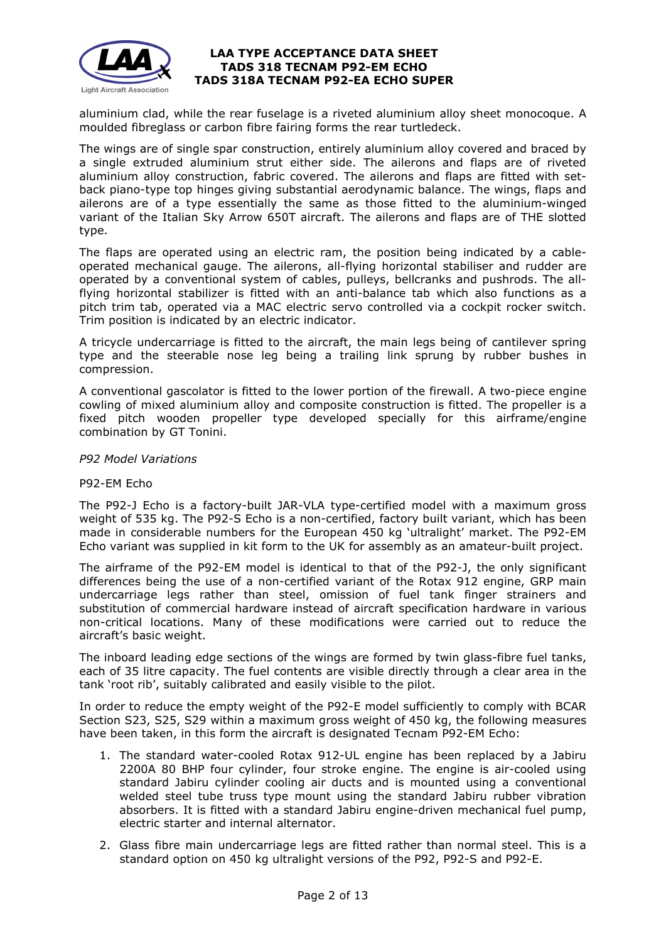

aluminium clad, while the rear fuselage is a riveted aluminium alloy sheet monocoque. A moulded fibreglass or carbon fibre fairing forms the rear turtledeck.

The wings are of single spar construction, entirely aluminium alloy covered and braced by a single extruded aluminium strut either side. The ailerons and flaps are of riveted aluminium alloy construction, fabric covered. The ailerons and flaps are fitted with setback piano-type top hinges giving substantial aerodynamic balance. The wings, flaps and ailerons are of a type essentially the same as those fitted to the aluminium-winged variant of the Italian Sky Arrow 650T aircraft. The ailerons and flaps are of THE slotted type.

The flaps are operated using an electric ram, the position being indicated by a cableoperated mechanical gauge. The ailerons, all-flying horizontal stabiliser and rudder are operated by a conventional system of cables, pulleys, bellcranks and pushrods. The allflying horizontal stabilizer is fitted with an anti-balance tab which also functions as a pitch trim tab, operated via a MAC electric servo controlled via a cockpit rocker switch. Trim position is indicated by an electric indicator.

A tricycle undercarriage is fitted to the aircraft, the main legs being of cantilever spring type and the steerable nose leg being a trailing link sprung by rubber bushes in compression.

A conventional gascolator is fitted to the lower portion of the firewall. A two-piece engine cowling of mixed aluminium alloy and composite construction is fitted. The propeller is a fixed pitch wooden propeller type developed specially for this airframe/engine combination by GT Tonini.

## *P92 Model Variations*

#### P92-EM Echo

The P92-J Echo is a factory-built JAR-VLA type-certified model with a maximum gross weight of 535 kg. The P92-S Echo is a non-certified, factory built variant, which has been made in considerable numbers for the European 450 kg 'ultralight' market. The P92-EM Echo variant was supplied in kit form to the UK for assembly as an amateur-built project.

The airframe of the P92-EM model is identical to that of the P92-J, the only significant differences being the use of a non-certified variant of the Rotax 912 engine, GRP main undercarriage legs rather than steel, omission of fuel tank finger strainers and substitution of commercial hardware instead of aircraft specification hardware in various non-critical locations. Many of these modifications were carried out to reduce the aircraft's basic weight.

The inboard leading edge sections of the wings are formed by twin glass-fibre fuel tanks, each of 35 litre capacity. The fuel contents are visible directly through a clear area in the tank 'root rib', suitably calibrated and easily visible to the pilot.

In order to reduce the empty weight of the P92-E model sufficiently to comply with BCAR Section S23, S25, S29 within a maximum gross weight of 450 kg, the following measures have been taken, in this form the aircraft is designated Tecnam P92-EM Echo:

- 1. The standard water-cooled Rotax 912-UL engine has been replaced by a Jabiru 2200A 80 BHP four cylinder, four stroke engine. The engine is air-cooled using standard Jabiru cylinder cooling air ducts and is mounted using a conventional welded steel tube truss type mount using the standard Jabiru rubber vibration absorbers. It is fitted with a standard Jabiru engine-driven mechanical fuel pump, electric starter and internal alternator.
- 2. Glass fibre main undercarriage legs are fitted rather than normal steel. This is a standard option on 450 kg ultralight versions of the P92, P92-S and P92-E.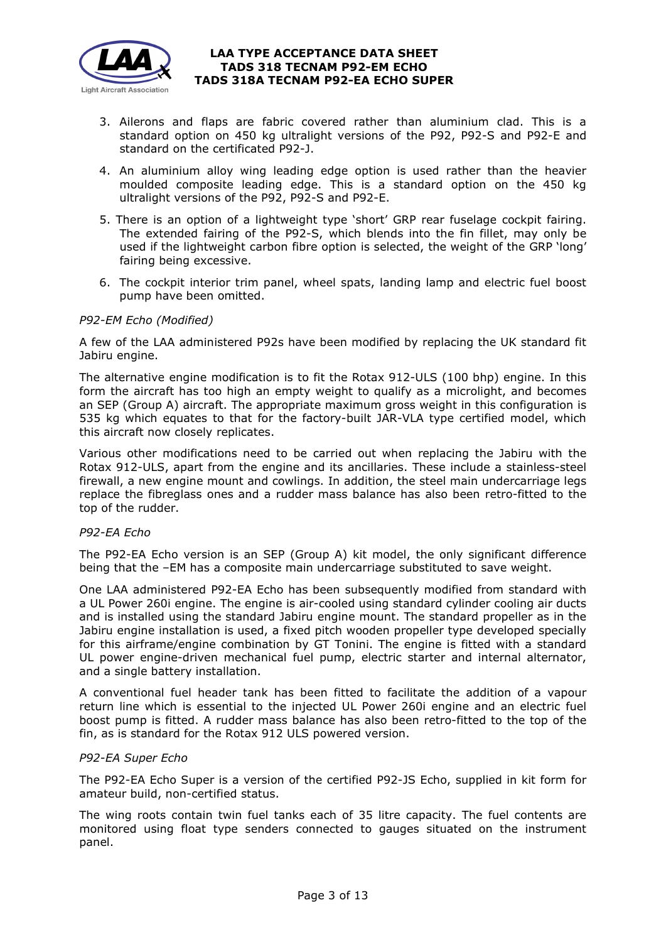

- 3. Ailerons and flaps are fabric covered rather than aluminium clad. This is a standard option on 450 kg ultralight versions of the P92, P92-S and P92-E and standard on the certificated P92-J.
- 4. An aluminium alloy wing leading edge option is used rather than the heavier moulded composite leading edge. This is a standard option on the 450 kg ultralight versions of the P92, P92-S and P92-E.
- 5. There is an option of a lightweight type 'short' GRP rear fuselage cockpit fairing. The extended fairing of the P92-S, which blends into the fin fillet, may only be used if the lightweight carbon fibre option is selected, the weight of the GRP 'long' fairing being excessive.
- 6. The cockpit interior trim panel, wheel spats, landing lamp and electric fuel boost pump have been omitted.

## *P92-EM Echo (Modified)*

A few of the LAA administered P92s have been modified by replacing the UK standard fit Jabiru engine.

The alternative engine modification is to fit the Rotax 912-ULS (100 bhp) engine. In this form the aircraft has too high an empty weight to qualify as a microlight, and becomes an SEP (Group A) aircraft. The appropriate maximum gross weight in this configuration is 535 kg which equates to that for the factory-built JAR-VLA type certified model, which this aircraft now closely replicates.

Various other modifications need to be carried out when replacing the Jabiru with the Rotax 912-ULS, apart from the engine and its ancillaries. These include a stainless-steel firewall, a new engine mount and cowlings. In addition, the steel main undercarriage legs replace the fibreglass ones and a rudder mass balance has also been retro-fitted to the top of the rudder.

## *P92-EA Echo*

The P92-EA Echo version is an SEP (Group A) kit model, the only significant difference being that the –EM has a composite main undercarriage substituted to save weight.

One LAA administered P92-EA Echo has been subsequently modified from standard with a UL Power 260i engine. The engine is air-cooled using standard cylinder cooling air ducts and is installed using the standard Jabiru engine mount. The standard propeller as in the Jabiru engine installation is used, a fixed pitch wooden propeller type developed specially for this airframe/engine combination by GT Tonini. The engine is fitted with a standard UL power engine-driven mechanical fuel pump, electric starter and internal alternator, and a single battery installation.

A conventional fuel header tank has been fitted to facilitate the addition of a vapour return line which is essential to the injected UL Power 260i engine and an electric fuel boost pump is fitted. A rudder mass balance has also been retro-fitted to the top of the fin, as is standard for the Rotax 912 ULS powered version.

#### *P92-EA Super Echo*

The P92-EA Echo Super is a version of the certified P92-JS Echo, supplied in kit form for amateur build, non-certified status.

The wing roots contain twin fuel tanks each of 35 litre capacity. The fuel contents are monitored using float type senders connected to gauges situated on the instrument panel.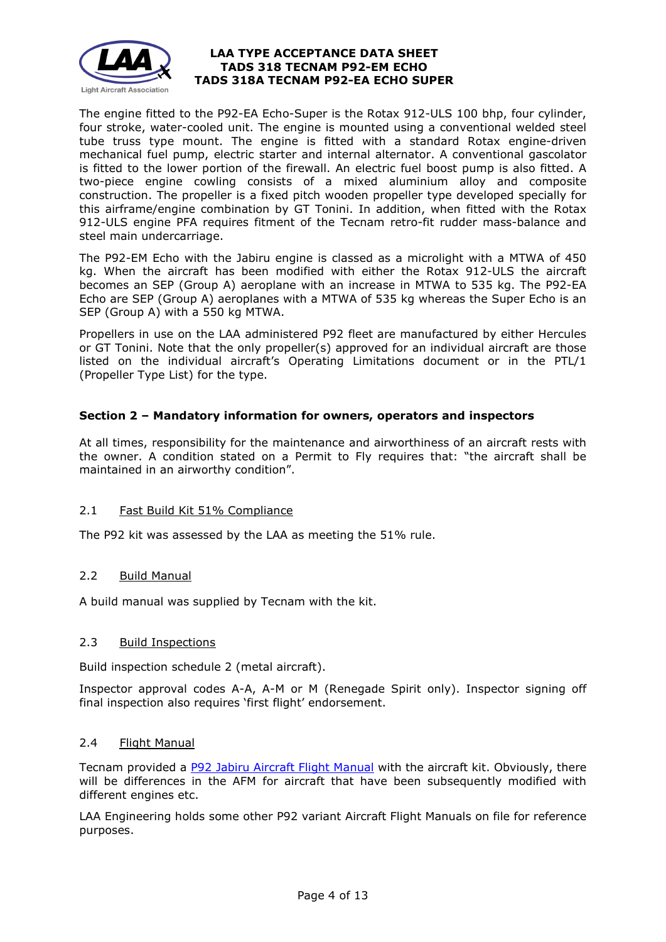

The engine fitted to the P92-EA Echo-Super is the Rotax 912-ULS 100 bhp, four cylinder, four stroke, water-cooled unit. The engine is mounted using a conventional welded steel tube truss type mount. The engine is fitted with a standard Rotax engine-driven mechanical fuel pump, electric starter and internal alternator. A conventional gascolator is fitted to the lower portion of the firewall. An electric fuel boost pump is also fitted. A two-piece engine cowling consists of a mixed aluminium alloy and composite construction. The propeller is a fixed pitch wooden propeller type developed specially for this airframe/engine combination by GT Tonini. In addition, when fitted with the Rotax 912-ULS engine PFA requires fitment of the Tecnam retro-fit rudder mass-balance and steel main undercarriage.

The P92-EM Echo with the Jabiru engine is classed as a microlight with a MTWA of 450 kg. When the aircraft has been modified with either the Rotax 912-ULS the aircraft becomes an SEP (Group A) aeroplane with an increase in MTWA to 535 kg. The P92-EA Echo are SEP (Group A) aeroplanes with a MTWA of 535 kg whereas the Super Echo is an SEP (Group A) with a 550 kg MTWA.

Propellers in use on the LAA administered P92 fleet are manufactured by either Hercules or GT Tonini. Note that the only propeller(s) approved for an individual aircraft are those listed on the individual aircraft's Operating Limitations document or in the PTL/1 (Propeller Type List) for the type.

# **Section 2 – Mandatory information for owners, operators and inspectors**

At all times, responsibility for the maintenance and airworthiness of an aircraft rests with the owner. A condition stated on a Permit to Fly requires that: "the aircraft shall be maintained in an airworthy condition".

# 2.1 Fast Build Kit 51% Compliance

The P92 kit was assessed by the LAA as meeting the 51% rule.

# 2.2 Build Manual

A build manual was supplied by Tecnam with the kit.

## 2.3 Build Inspections

Build inspection schedule 2 (metal aircraft).

Inspector approval codes A-A, A-M or M (Renegade Spirit only). Inspector signing off final inspection also requires 'first flight' endorsement.

## 2.4 Flight Manual

Tecnam provided a **[P92 Jabiru Aircraft Flight](http://www.lightaircraftassociation.co.uk/engineering/TADs/318/P92%20Classic%20Jabiru%20AFM%20Ed%201%20Rev%200.pdf) Manual** with the aircraft kit. Obviously, there will be differences in the AFM for aircraft that have been subsequently modified with different engines etc.

LAA Engineering holds some other P92 variant Aircraft Flight Manuals on file for reference purposes.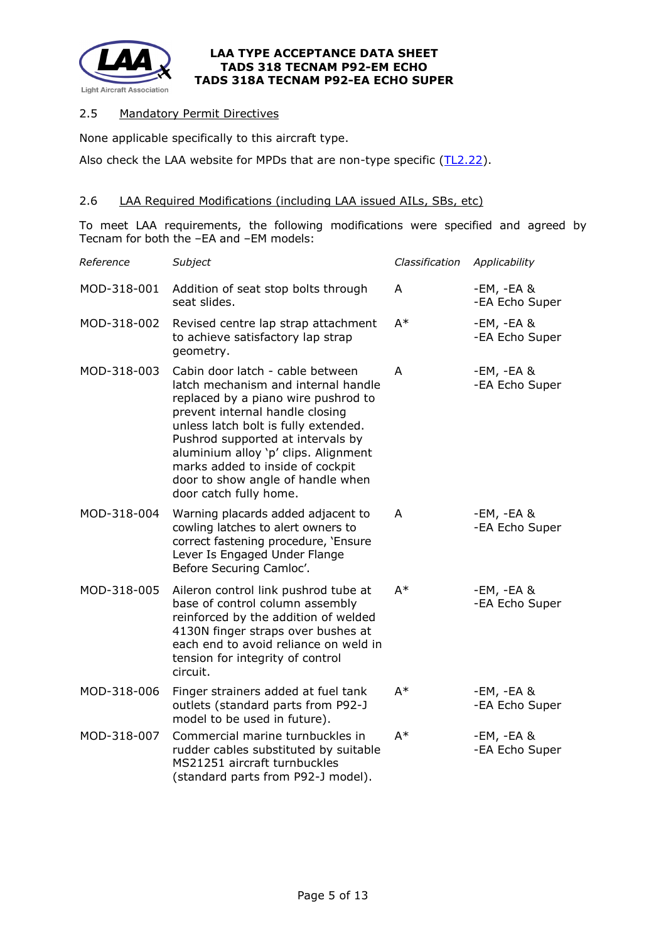

# 2.5 Mandatory Permit Directives

None applicable specifically to this aircraft type.

Also check the LAA website for MPDs that are non-type specific [\(TL2.22\)](http://www.lightaircraftassociation.co.uk/engineering/TechnicalLeaflets/Operating%20An%20Aircraft/TL%202.22%20non-type%20specific%20MPDs.pdf).

## 2.6 LAA Required Modifications (including LAA issued AILs, SBs, etc)

To meet LAA requirements, the following modifications were specified and agreed by Tecnam for both the –EA and –EM models:

| Reference   | Subject                                                                                                                                                                                                                                                                                                                                                                   | Classification | Applicability                  |
|-------------|---------------------------------------------------------------------------------------------------------------------------------------------------------------------------------------------------------------------------------------------------------------------------------------------------------------------------------------------------------------------------|----------------|--------------------------------|
| MOD-318-001 | Addition of seat stop bolts through<br>seat slides.                                                                                                                                                                                                                                                                                                                       | A              | $-EM, -EA$ &<br>-EA Echo Super |
| MOD-318-002 | Revised centre lap strap attachment<br>to achieve satisfactory lap strap<br>geometry.                                                                                                                                                                                                                                                                                     | $A^*$          | $-EM, -EA$ &<br>-EA Echo Super |
| MOD-318-003 | Cabin door latch - cable between<br>latch mechanism and internal handle<br>replaced by a piano wire pushrod to<br>prevent internal handle closing<br>unless latch bolt is fully extended.<br>Pushrod supported at intervals by<br>aluminium alloy 'p' clips. Alignment<br>marks added to inside of cockpit<br>door to show angle of handle when<br>door catch fully home. | A              | $-EM, -EA$ &<br>-EA Echo Super |
| MOD-318-004 | Warning placards added adjacent to<br>cowling latches to alert owners to<br>correct fastening procedure, 'Ensure<br>Lever Is Engaged Under Flange<br>Before Securing Camloc'.                                                                                                                                                                                             | A              | -EM, -EA &<br>-EA Echo Super   |
| MOD-318-005 | Aileron control link pushrod tube at<br>base of control column assembly<br>reinforced by the addition of welded<br>4130N finger straps over bushes at<br>each end to avoid reliance on weld in<br>tension for integrity of control<br>circuit.                                                                                                                            | A*             | -EM, -EA &<br>-EA Echo Super   |
| MOD-318-006 | Finger strainers added at fuel tank<br>outlets (standard parts from P92-J<br>model to be used in future).                                                                                                                                                                                                                                                                 | $A^*$          | -EM, -EA &<br>-EA Echo Super   |
| MOD-318-007 | Commercial marine turnbuckles in<br>rudder cables substituted by suitable<br>MS21251 aircraft turnbuckles<br>(standard parts from P92-J model).                                                                                                                                                                                                                           | $A^*$          | -EM, -EA &<br>-EA Echo Super   |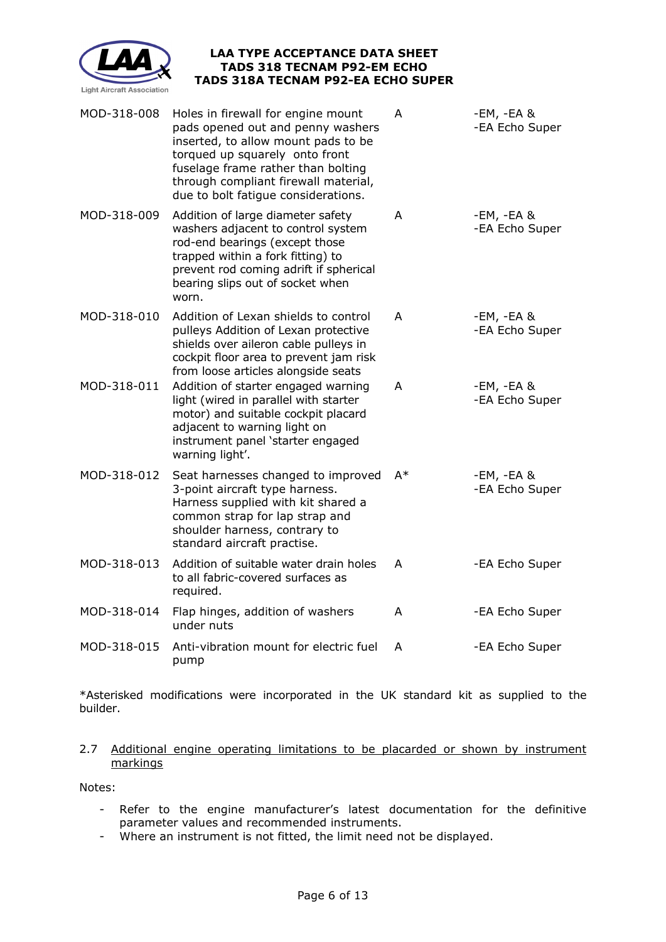

| MOD-318-008 | Holes in firewall for engine mount<br>pads opened out and penny washers<br>inserted, to allow mount pads to be<br>torqued up squarely onto front<br>fuselage frame rather than bolting<br>through compliant firewall material,<br>due to bolt fatigue considerations. | A  | -EM, -EA &<br>-EA Echo Super |
|-------------|-----------------------------------------------------------------------------------------------------------------------------------------------------------------------------------------------------------------------------------------------------------------------|----|------------------------------|
| MOD-318-009 | Addition of large diameter safety<br>washers adjacent to control system<br>rod-end bearings (except those<br>trapped within a fork fitting) to<br>prevent rod coming adrift if spherical<br>bearing slips out of socket when<br>worn.                                 | A  | -EM, -EA &<br>-EA Echo Super |
| MOD-318-010 | Addition of Lexan shields to control<br>pulleys Addition of Lexan protective<br>shields over aileron cable pulleys in<br>cockpit floor area to prevent jam risk<br>from loose articles alongside seats                                                                | A  | -EM, -EA &<br>-EA Echo Super |
| MOD-318-011 | Addition of starter engaged warning<br>light (wired in parallel with starter<br>motor) and suitable cockpit placard<br>adjacent to warning light on<br>instrument panel 'starter engaged<br>warning light'.                                                           | A  | -EM, -EA &<br>-EA Echo Super |
| MOD-318-012 | Seat harnesses changed to improved<br>3-point aircraft type harness.<br>Harness supplied with kit shared a<br>common strap for lap strap and<br>shoulder harness, contrary to<br>standard aircraft practise.                                                          | A* | -EM, -EA &<br>-EA Echo Super |
| MOD-318-013 | Addition of suitable water drain holes<br>to all fabric-covered surfaces as<br>required.                                                                                                                                                                              | A  | -EA Echo Super               |
| MOD-318-014 | Flap hinges, addition of washers<br>under nuts                                                                                                                                                                                                                        | A  | -EA Echo Super               |
| MOD-318-015 | Anti-vibration mount for electric fuel<br>pump                                                                                                                                                                                                                        | A  | -EA Echo Super               |

\*Asterisked modifications were incorporated in the UK standard kit as supplied to the builder.

## 2.7 Additional engine operating limitations to be placarded or shown by instrument markings

Notes:

- Refer to the engine manufacturer's latest documentation for the definitive parameter values and recommended instruments.
- parameter values and recommended modernicity.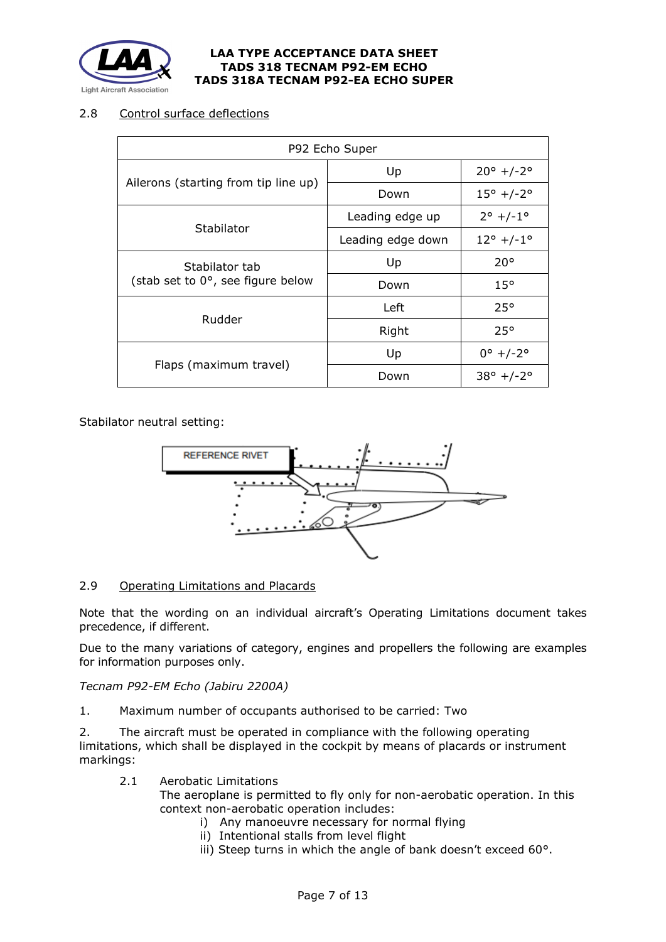

# 2.8 Control surface deflections

| P92 Echo Super                       |                   |                              |  |  |  |
|--------------------------------------|-------------------|------------------------------|--|--|--|
|                                      | Up                | $20^{\circ}$ +/-2°           |  |  |  |
| Ailerons (starting from tip line up) | Down              | $15^{\circ}$ +/-2 $^{\circ}$ |  |  |  |
|                                      | Leading edge up   | $2^{\circ}$ +/-1 $^{\circ}$  |  |  |  |
| Stabilator                           | Leading edge down | $12^{\circ}$ +/-1 $^{\circ}$ |  |  |  |
| Stabilator tab                       | Up                | $20^{\circ}$                 |  |  |  |
| (stab set to 0°, see figure below    | Down              | $15^{\circ}$                 |  |  |  |
|                                      | Left              | $25^\circ$                   |  |  |  |
| Rudder                               | Right             | 25°                          |  |  |  |
|                                      | Up                | $0^{\circ}$ +/-2 $^{\circ}$  |  |  |  |
| Flaps (maximum travel)               | Down              | $38^{\circ}$ +/-2 $^{\circ}$ |  |  |  |

## Stabilator neutral setting:



# 2.9 Operating Limitations and Placards

Note that the wording on an individual aircraft's Operating Limitations document takes precedence, if different.

Due to the many variations of category, engines and propellers the following are examples for information purposes only.

## *Tecnam P92-EM Echo (Jabiru 2200A)*

1. Maximum number of occupants authorised to be carried: Two

2. The aircraft must be operated in compliance with the following operating limitations, which shall be displayed in the cockpit by means of placards or instrument markings:

2.1 Aerobatic Limitations

The aeroplane is permitted to fly only for non-aerobatic operation. In this context non-aerobatic operation includes:

- i) Any manoeuvre necessary for normal flying
- ii) Intentional stalls from level flight
- iii) Steep turns in which the angle of bank doesn't exceed 60°.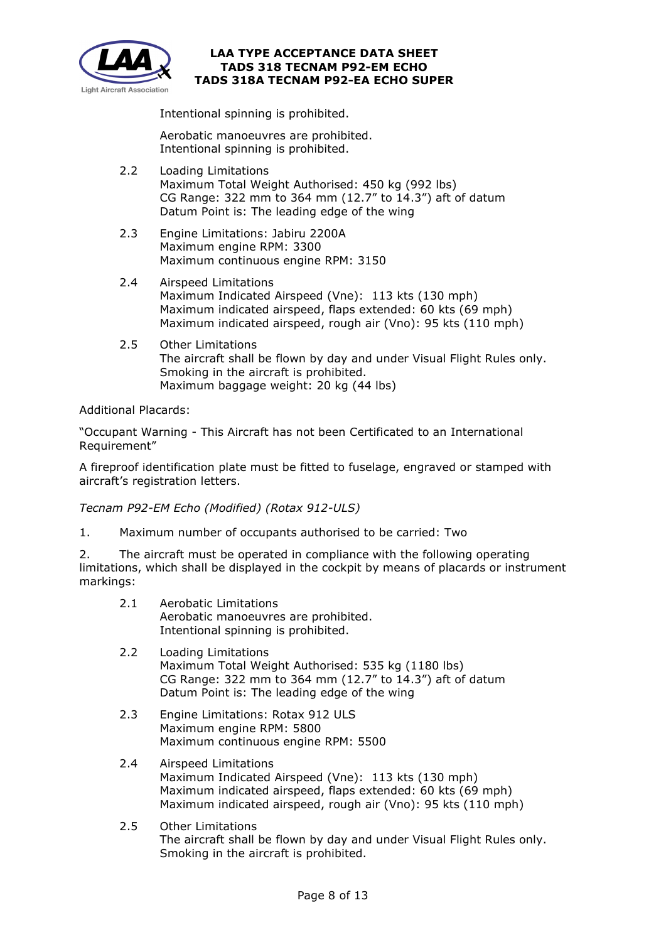

Intentional spinning is prohibited.

Aerobatic manoeuvres are prohibited. Intentional spinning is prohibited.

- 2.2 Loading Limitations Maximum Total Weight Authorised: 450 kg (992 lbs) CG Range: 322 mm to 364 mm (12.7" to 14.3") aft of datum Datum Point is: The leading edge of the wing
- 2.3 Engine Limitations: Jabiru 2200A Maximum engine RPM: 3300 Maximum continuous engine RPM: 3150
- 2.4 Airspeed Limitations Maximum Indicated Airspeed (Vne): 113 kts (130 mph) Maximum indicated airspeed, flaps extended: 60 kts (69 mph) Maximum indicated airspeed, rough air (Vno): 95 kts (110 mph)
- 2.5 Other Limitations The aircraft shall be flown by day and under Visual Flight Rules only. Smoking in the aircraft is prohibited. Maximum baggage weight: 20 kg (44 lbs)

Additional Placards:

"Occupant Warning - This Aircraft has not been Certificated to an International Requirement"

A fireproof identification plate must be fitted to fuselage, engraved or stamped with aircraft's registration letters.

*Tecnam P92-EM Echo (Modified) (Rotax 912-ULS)*

1. Maximum number of occupants authorised to be carried: Two

2. The aircraft must be operated in compliance with the following operating limitations, which shall be displayed in the cockpit by means of placards or instrument markings:

- 2.1 Aerobatic Limitations Aerobatic manoeuvres are prohibited. Intentional spinning is prohibited.
- 2.2 Loading Limitations Maximum Total Weight Authorised: 535 kg (1180 lbs) CG Range: 322 mm to 364 mm (12.7" to 14.3") aft of datum Datum Point is: The leading edge of the wing
- 2.3 Engine Limitations: Rotax 912 ULS Maximum engine RPM: 5800 Maximum continuous engine RPM: 5500
- 2.4 Airspeed Limitations Maximum Indicated Airspeed (Vne): 113 kts (130 mph) Maximum indicated airspeed, flaps extended: 60 kts (69 mph) Maximum indicated airspeed, rough air (Vno): 95 kts (110 mph)
- 2.5 Other Limitations The aircraft shall be flown by day and under Visual Flight Rules only. Smoking in the aircraft is prohibited.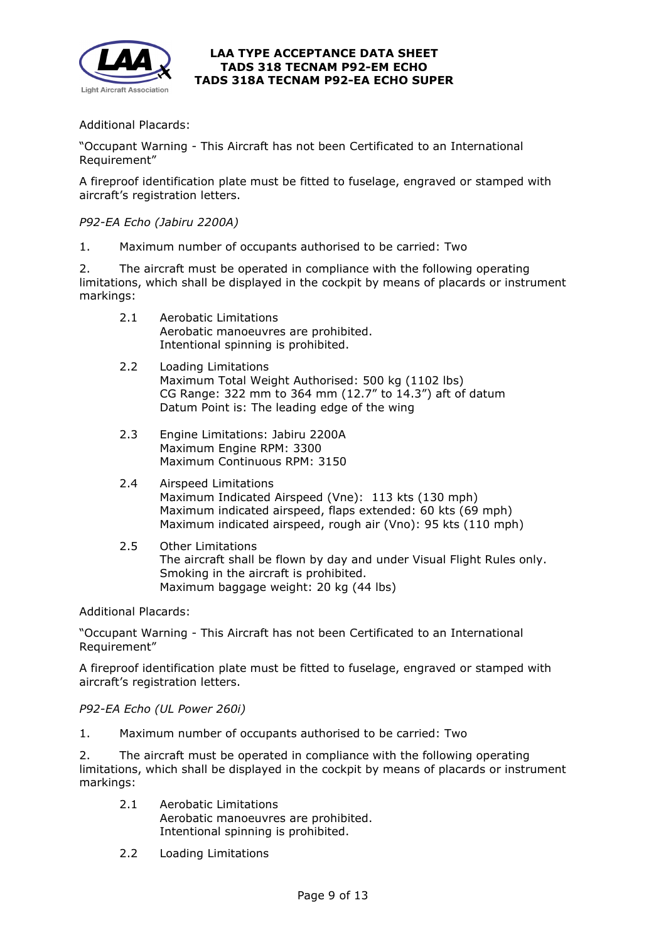

Additional Placards:

"Occupant Warning - This Aircraft has not been Certificated to an International Requirement"

A fireproof identification plate must be fitted to fuselage, engraved or stamped with aircraft's registration letters.

## *P92-EA Echo (Jabiru 2200A)*

1. Maximum number of occupants authorised to be carried: Two

2. The aircraft must be operated in compliance with the following operating limitations, which shall be displayed in the cockpit by means of placards or instrument markings:

- 2.1 Aerobatic Limitations Aerobatic manoeuvres are prohibited. Intentional spinning is prohibited.
- 2.2 Loading Limitations Maximum Total Weight Authorised: 500 kg (1102 lbs) CG Range: 322 mm to 364 mm (12.7" to 14.3") aft of datum Datum Point is: The leading edge of the wing
- 2.3 Engine Limitations: Jabiru 2200A Maximum Engine RPM: 3300 Maximum Continuous RPM: 3150
- 2.4 Airspeed Limitations Maximum Indicated Airspeed (Vne): 113 kts (130 mph) Maximum indicated airspeed, flaps extended: 60 kts (69 mph) Maximum indicated airspeed, rough air (Vno): 95 kts (110 mph)
- 2.5 Other Limitations The aircraft shall be flown by day and under Visual Flight Rules only. Smoking in the aircraft is prohibited. Maximum baggage weight: 20 kg (44 lbs)

Additional Placards:

"Occupant Warning - This Aircraft has not been Certificated to an International Requirement"

A fireproof identification plate must be fitted to fuselage, engraved or stamped with aircraft's registration letters.

*P92-EA Echo (UL Power 260i)*

1. Maximum number of occupants authorised to be carried: Two

2. The aircraft must be operated in compliance with the following operating limitations, which shall be displayed in the cockpit by means of placards or instrument markings:

- 2.1 Aerobatic Limitations Aerobatic manoeuvres are prohibited. Intentional spinning is prohibited.
- 2.2 Loading Limitations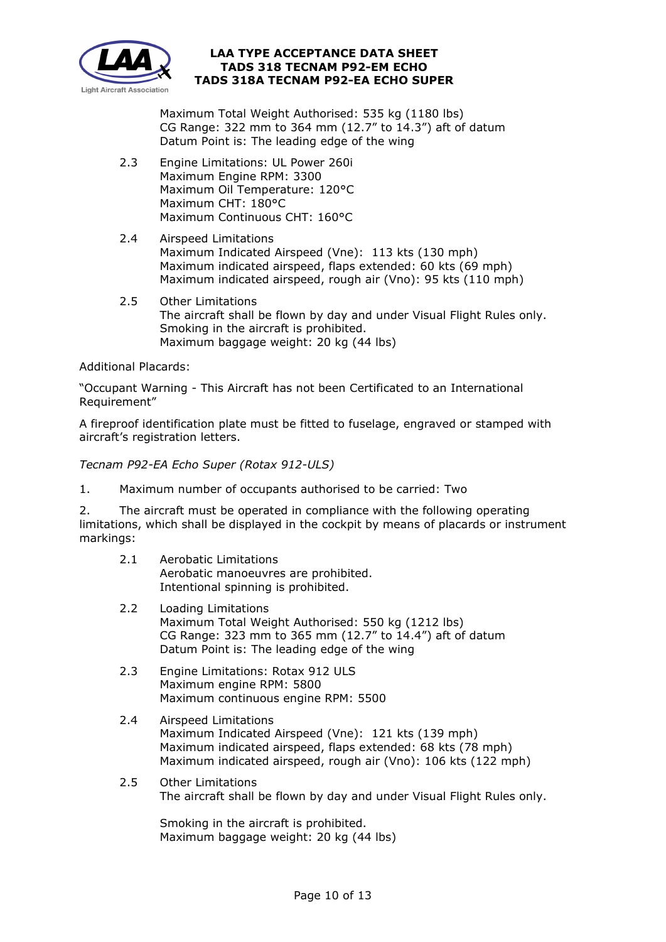

Maximum Total Weight Authorised: 535 kg (1180 lbs) CG Range: 322 mm to 364 mm (12.7" to 14.3") aft of datum Datum Point is: The leading edge of the wing

- 2.3 Engine Limitations: UL Power 260i Maximum Engine RPM: 3300 Maximum Oil Temperature: 120°C Maximum CHT: 180°C Maximum Continuous CHT: 160°C
- 2.4 Airspeed Limitations Maximum Indicated Airspeed (Vne): 113 kts (130 mph) Maximum indicated airspeed, flaps extended: 60 kts (69 mph) Maximum indicated airspeed, rough air (Vno): 95 kts (110 mph)
- 2.5 Other Limitations The aircraft shall be flown by day and under Visual Flight Rules only. Smoking in the aircraft is prohibited. Maximum baggage weight: 20 kg (44 lbs)

Additional Placards:

"Occupant Warning - This Aircraft has not been Certificated to an International Requirement"

A fireproof identification plate must be fitted to fuselage, engraved or stamped with aircraft's registration letters.

*Tecnam P92-EA Echo Super (Rotax 912-ULS)*

1. Maximum number of occupants authorised to be carried: Two

2. The aircraft must be operated in compliance with the following operating limitations, which shall be displayed in the cockpit by means of placards or instrument markings:

- 2.1 Aerobatic Limitations Aerobatic manoeuvres are prohibited. Intentional spinning is prohibited.
- 2.2 Loading Limitations Maximum Total Weight Authorised: 550 kg (1212 lbs) CG Range: 323 mm to 365 mm (12.7" to 14.4") aft of datum Datum Point is: The leading edge of the wing
- 2.3 Engine Limitations: Rotax 912 ULS Maximum engine RPM: 5800 Maximum continuous engine RPM: 5500
- 2.4 Airspeed Limitations Maximum Indicated Airspeed (Vne): 121 kts (139 mph) Maximum indicated airspeed, flaps extended: 68 kts (78 mph) Maximum indicated airspeed, rough air (Vno): 106 kts (122 mph)
- 2.5 Other Limitations The aircraft shall be flown by day and under Visual Flight Rules only.

Smoking in the aircraft is prohibited. Maximum baggage weight: 20 kg (44 lbs)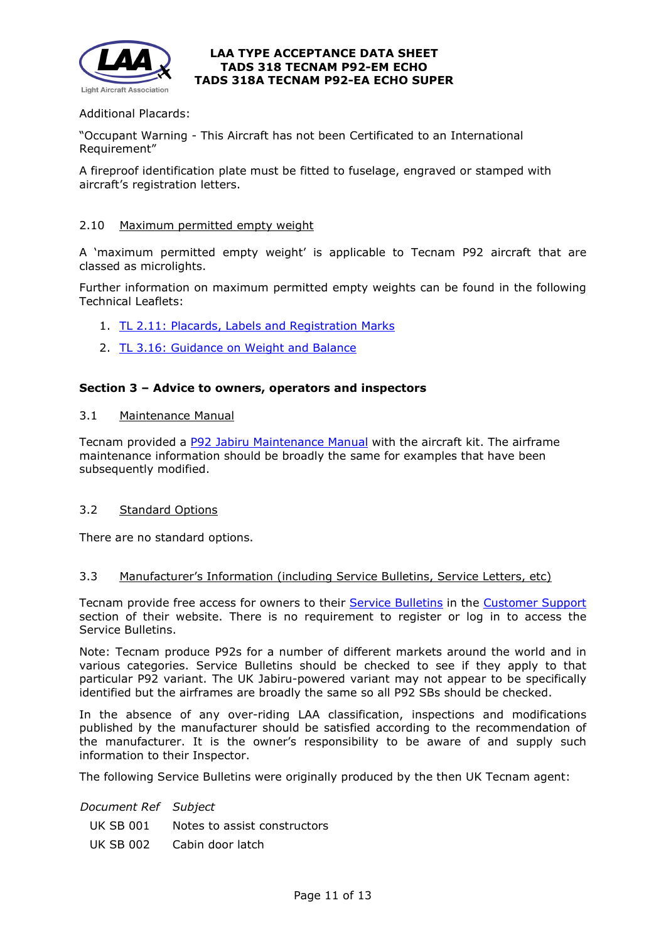

## Additional Placards:

"Occupant Warning - This Aircraft has not been Certificated to an International Requirement"

A fireproof identification plate must be fitted to fuselage, engraved or stamped with aircraft's registration letters.

### 2.10 Maximum permitted empty weight

A 'maximum permitted empty weight' is applicable to Tecnam P92 aircraft that are classed as microlights.

Further information on maximum permitted empty weights can be found in the following Technical Leaflets:

- 1. [TL 2.11: Placards, Labels and Registration Marks](http://www.lightaircraftassociation.co.uk/engineering/TechnicalLeaflets/Operating%20An%20Aircraft/TL%202.11%20Placards%20and%20Labels.pdf)
- 2. [TL 3.16: Guidance on Weight and Balance](http://www.lightaircraftassociation.co.uk/engineering/TechnicalLeaflets/Mods%20and%20Repairs/TL%203.16%20Weight%20and%20Balance%20Guidance%20Notes.pdf)

### **Section 3 – Advice to owners, operators and inspectors**

3.1 Maintenance Manual

Tecnam provided a [P92 Jabiru Maintenance Manual](http://www.lightaircraftassociation.co.uk/engineering/TADs/318/P92%20Classic%20Jabiru%20AMM%20Ed%203%20Rev%200.pdf) with the aircraft kit. The airframe maintenance information should be broadly the same for examples that have been subsequently modified.

### 3.2 Standard Options

There are no standard options.

#### 3.3 Manufacturer's Information (including Service Bulletins, Service Letters, etc)

Tecnam provide free access for owners to their [Service Bulletins](http://reservedarea.tecnam.com/Customer-Care/Service-Bulletins.aspx) in the [Customer Support](https://www.tecnam.com/customer-support/) section of their website. There is no requirement to register or log in to access the Service Bulletins.

Note: Tecnam produce P92s for a number of different markets around the world and in various categories. Service Bulletins should be checked to see if they apply to that particular P92 variant. The UK Jabiru-powered variant may not appear to be specifically identified but the airframes are broadly the same so all P92 SBs should be checked.

In the absence of any over-riding LAA classification, inspections and modifications published by the manufacturer should be satisfied according to the recommendation of the manufacturer. It is the owner's responsibility to be aware of and supply such information to their Inspector.

The following Service Bulletins were originally produced by the then UK Tecnam agent:

*Document Ref Subject*

- UK SB 001 Notes to assist constructors
- UK SB 002 Cabin door latch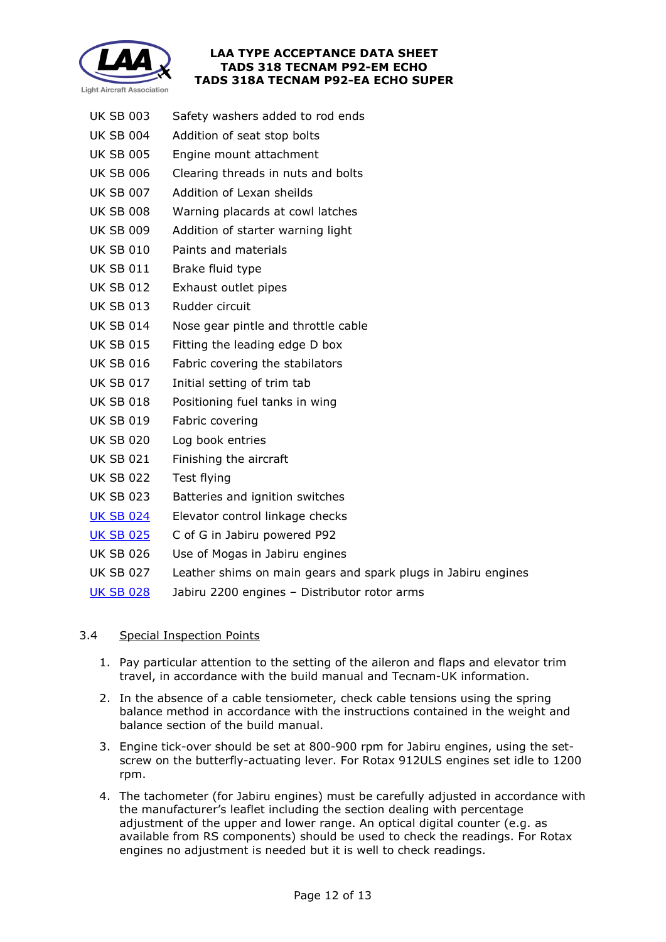

- UK SB 003 Safety washers added to rod ends
- UK SB 004 Addition of seat stop bolts
- UK SB 005 Engine mount attachment
- UK SB 006 Clearing threads in nuts and bolts
- UK SB 007 Addition of Lexan sheilds
- UK SB 008 Warning placards at cowl latches
- UK SB 009 Addition of starter warning light
- UK SB 010 Paints and materials
- UK SB 011 Brake fluid type
- UK SB 012 Exhaust outlet pipes
- UK SB 013 Rudder circuit
- UK SB 014 Nose gear pintle and throttle cable
- UK SB 015 Fitting the leading edge D box
- UK SB 016 Fabric covering the stabilators
- UK SB 017 Initial setting of trim tab
- UK SB 018 Positioning fuel tanks in wing
- UK SB 019 Fabric covering
- UK SB 020 Log book entries
- UK SB 021 Finishing the aircraft
- UK SB 022 Test flying
- UK SB 023 Batteries and ignition switches
- [UK SB 024](http://www.lightaircraftassociation.co.uk/engineering/TADs/318/P92%20UK%20SB024.pdf) Elevator control linkage checks
- [UK SB 025](http://www.lightaircraftassociation.co.uk/engineering/TADs/318/P92%20UK%20SB%20025.pdf) C of G in Jabiru powered P92
- UK SB 026 Use of Mogas in Jabiru engines
- UK SB 027 Leather shims on main gears and spark plugs in Jabiru engines
- [UK SB 028](http://www.lightaircraftassociation.co.uk/engineering/TADs/318/P92%20UK%20SB%20028.pdf) Jabiru 2200 engines Distributor rotor arms

# 3.4 Special Inspection Points

- 1. Pay particular attention to the setting of the aileron and flaps and elevator trim travel, in accordance with the build manual and Tecnam-UK information.
- 2. In the absence of a cable tensiometer, check cable tensions using the spring balance method in accordance with the instructions contained in the weight and balance section of the build manual.
- 3. Engine tick-over should be set at 800-900 rpm for Jabiru engines, using the setscrew on the butterfly-actuating lever. For Rotax 912ULS engines set idle to 1200 rpm.
- 4. The tachometer (for Jabiru engines) must be carefully adjusted in accordance with the manufacturer's leaflet including the section dealing with percentage adjustment of the upper and lower range. An optical digital counter (e.g. as available from RS components) should be used to check the readings. For Rotax engines no adjustment is needed but it is well to check readings.